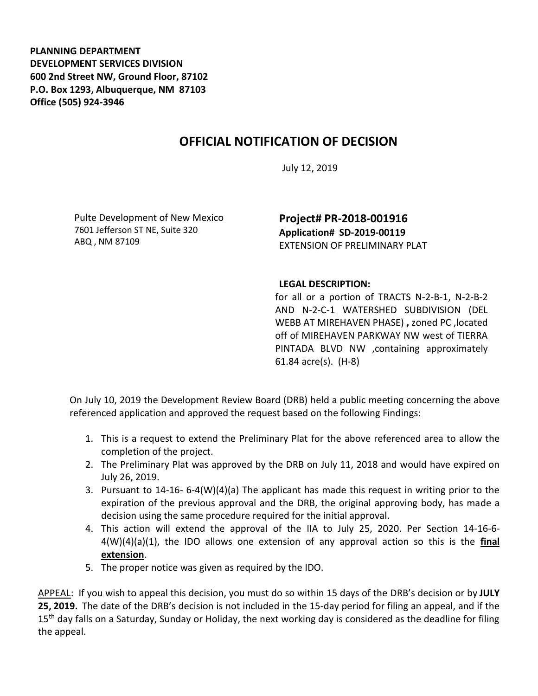**PLANNING DEPARTMENT DEVELOPMENT SERVICES DIVISION 600 2nd Street NW, Ground Floor, 87102 P.O. Box 1293, Albuquerque, NM 87103 Office (505) 924-3946** 

## **OFFICIAL NOTIFICATION OF DECISION**

July 12, 2019

Pulte Development of New Mexico 7601 Jefferson ST NE, Suite 320 ABQ , NM 87109

**Project# PR-2018-001916 Application# SD-2019-00119** EXTENSION OF PRELIMINARY PLAT

## **LEGAL DESCRIPTION:**

for all or a portion of TRACTS N-2-B-1, N-2-B-2 AND N-2-C-1 WATERSHED SUBDIVISION (DEL WEBB AT MIREHAVEN PHASE) **,** zoned PC ,located off of MIREHAVEN PARKWAY NW west of TIERRA PINTADA BLVD NW ,containing approximately 61.84 acre(s). (H-8)

On July 10, 2019 the Development Review Board (DRB) held a public meeting concerning the above referenced application and approved the request based on the following Findings:

- 1. This is a request to extend the Preliminary Plat for the above referenced area to allow the completion of the project.
- 2. The Preliminary Plat was approved by the DRB on July 11, 2018 and would have expired on July 26, 2019.
- 3. Pursuant to 14-16- 6-4(W)(4)(a) The applicant has made this request in writing prior to the expiration of the previous approval and the DRB, the original approving body, has made a decision using the same procedure required for the initial approval.
- 4. This action will extend the approval of the IIA to July 25, 2020. Per Section 14-16-6- 4(W)(4)(a)(1), the IDO allows one extension of any approval action so this is the **final extension**.
- 5. The proper notice was given as required by the IDO.

APPEAL: If you wish to appeal this decision, you must do so within 15 days of the DRB's decision or by **JULY 25, 2019.** The date of the DRB's decision is not included in the 15-day period for filing an appeal, and if the 15<sup>th</sup> day falls on a Saturday, Sunday or Holiday, the next working day is considered as the deadline for filing the appeal.